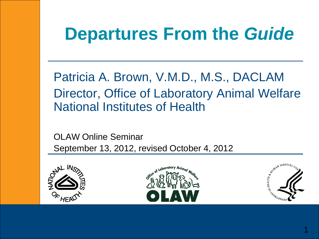# **Departures From the** *Guide*

Patricia A. Brown, V.M.D., M.S., DACLAM Director, Office of Laboratory Animal Welfare National Institutes of Health

OLAW Online Seminar September 13, 2012, revised October 4, 2012





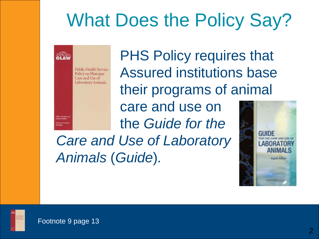# What Does the Policy Say?



PHS Policy requires that Assured institutions base their programs of animal

care and use on the *Guide for the* 

*Care and Use of Laboratory Animals* (*Guide*)*.*





Office of Laborat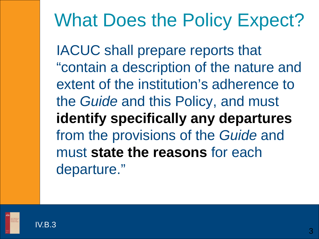# What Does the Policy Expect?

IACUC shall prepare reports that "contain a description of the nature and extent of the institution's adherence to the *Guide* and this Policy, and must **identify specifically any departures**  from the provisions of the *Guide* and must **state the reasons** for each departure."



IV.B.3

3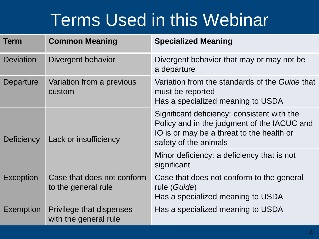### Terms Used in this Webinar

| <b>Term</b>       | <b>Common Meaning</b>                                    | <b>Specialized Meaning</b>                                                                                                                                       |
|-------------------|----------------------------------------------------------|------------------------------------------------------------------------------------------------------------------------------------------------------------------|
| <b>Deviation</b>  | Divergent behavior                                       | Divergent behavior that may or may not be<br>a departure                                                                                                         |
| Departure         | Variation from a previous<br>custom                      | Variation from the standards of the Guide that<br>must be reported<br>Has a specialized meaning to USDA                                                          |
| <b>Deficiency</b> | Lack or insufficiency                                    | Significant deficiency: consistent with the<br>Policy and in the judgment of the IACUC and<br>IO is or may be a threat to the health or<br>safety of the animals |
|                   |                                                          | Minor deficiency: a deficiency that is not<br>significant                                                                                                        |
| <b>Exception</b>  | Case that does not conform<br>to the general rule        | Case that does not conform to the general<br>rule (Guide)<br>Has a specialized meaning to USDA                                                                   |
| <b>Exemption</b>  | <b>Privilege that dispenses</b><br>with the general rule | Has a specialized meaning to USDA                                                                                                                                |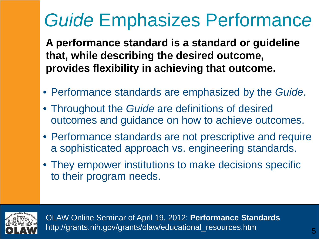# *Guide* Emphasizes Performanc*e*

**A performance standard is a standard or guideline that, while describing the desired outcome, provides flexibility in achieving that outcome.**

- Performance standards are emphasized by the *Guide*.
- Throughout the *Guide* are definitions of desired outcomes and guidance on how to achieve outcomes.
- Performance standards are not prescriptive and require a sophisticated approach vs. engineering standards.
- They empower institutions to make decisions specific to their program needs.



OLAW Online Seminar of April 19, 2012: **Performance Standards** http://grants.nih.gov/grants/olaw/educational\_resources.htm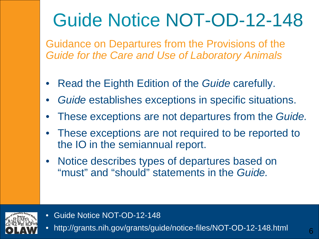# Guide Notice NOT-OD-12-148

Guidance on Departures from the Provisions of the *Guide for the Care and Use of Laboratory Animals*

- Read the Eighth Edition of the *Guide* carefully.
- *Guide* establishes exceptions in specific situations.
- These exceptions are not departures from the *Guide.*
- These exceptions are not required to be reported to the IO in the semiannual report.
- Notice describes types of departures based on "must" and "should" statements in the *Guide.*



- Guide Notice NOT-OD-12-148
- http://grants.nih.gov/grants/guide/notice-files/NOT-OD-12-148.html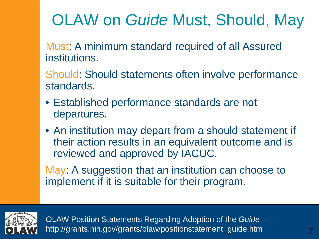### OLAW on *Guide* Must, Should, May

Must: A minimum standard required of all Assured institutions.

Should: Should statements often involve performance standards.

- Established performance standards are not departures.
- An institution may depart from a should statement if their action results in an equivalent outcome and is reviewed and approved by IACUC.

May: A suggestion that an institution can choose to implement if it is suitable for their program.



OLAW Position Statements Regarding Adoption of the *Guide* http://grants.nih.gov/grants/olaw/positionstatement\_guide.htm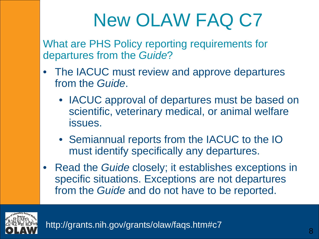# New OLAW FAQ C7

What are PHS Policy reporting requirements for departures from the *Guide*?

- The IACUC must review and approve departures from the *Guide*.
	- IACUC approval of departures must be based on scientific, veterinary medical, or animal welfare issues.
	- Semiannual reports from the IACUC to the IO must identify specifically any departures.
- Read the *Guide* closely; it establishes exceptions in specific situations. Exceptions are not departures from the *Guide* and do not have to be reported.



http://grants.nih.gov/grants/olaw/faqs.htm#c7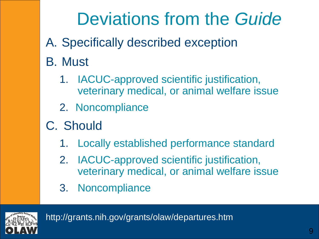# Deviations from the *Guide*

- A. Specifically described exception
- B. Must
	- 1. IACUC-approved scientific justification, veterinary medical, or animal welfare issue
	- 2. Noncompliance
- C. Should
	- 1. Locally established performance standard
	- 2. IACUC-approved scientific justification, veterinary medical, or animal welfare issue
	- 3. Noncompliance

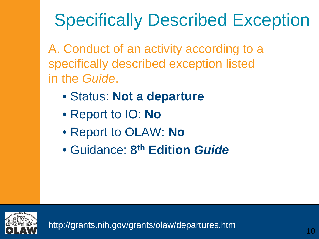# Specifically Described Exception

A. Conduct of an activity according to a specifically described exception listed in the *Guide*.

- Status: **Not a departure**
- Report to IO: **No**
- Report to OLAW: **No**
- Guidance: **8th Edition** *Guide*

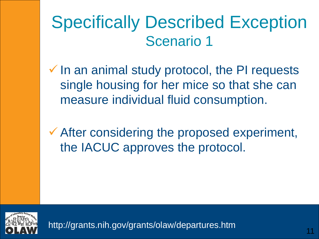- $\checkmark$  In an animal study protocol, the PI requests single housing for her mice so that she can measure individual fluid consumption.
- **★ After considering the proposed experiment,** the IACUC approves the protocol.

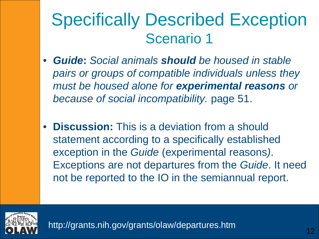- *Guide***:** *Social animals should be housed in stable pairs or groups of compatible individuals unless they must be housed alone for experimental reasons or because of social incompatibility.* page 51.
- **Discussion:** This is a deviation from a should statement according to a specifically established exception in the *Guide* (experimental reasons*)*. Exceptions are not departures from the *Guide*. It need not be reported to the IO in the semiannual report.

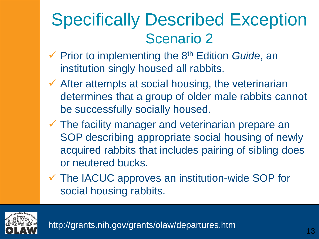- Prior to implementing the 8th Edition *Guide*, an institution singly housed all rabbits.
- $\checkmark$  After attempts at social housing, the veterinarian determines that a group of older male rabbits cannot be successfully socially housed.
- $\checkmark$  The facility manager and veterinarian prepare an SOP describing appropriate social housing of newly acquired rabbits that includes pairing of sibling does or neutered bucks.
- The IACUC approves an institution-wide SOP for social housing rabbits.

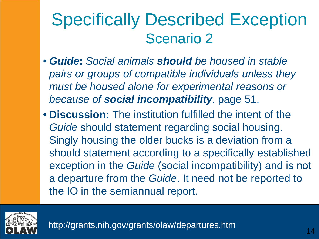- *Guide***:** *Social animals should be housed in stable pairs or groups of compatible individuals unless they must be housed alone for experimental reasons or because of social incompatibility.* page 51.
- **Discussion:** The institution fulfilled the intent of the *Guide* should statement regarding social housing. Singly housing the older bucks is a deviation from a should statement according to a specifically established exception in the *Guide* (social incompatibility) and is not a departure from the *Guide*. It need not be reported to the IO in the semiannual report.

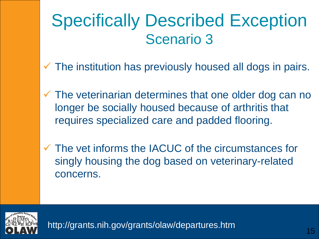- $\checkmark$  The institution has previously housed all dogs in pairs.
- $\checkmark$  The veterinarian determines that one older dog can no longer be socially housed because of arthritis that requires specialized care and padded flooring.
- $\checkmark$  The vet informs the IACUC of the circumstances for singly housing the dog based on veterinary-related concerns.

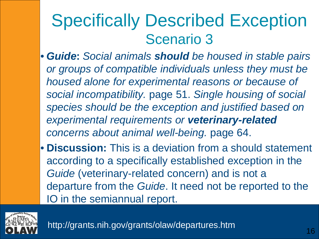- *Guide***:** *Social animals should be housed in stable pairs or groups of compatible individuals unless they must be housed alone for experimental reasons or because of social incompatibility.* page 51. *Single housing of social species should be the exception and justified based on experimental requirements or veterinary-related concerns about animal well-being.* page 64.
- **Discussion:** This is a deviation from a should statement according to a specifically established exception in the Guide (veterinary-related concern) and is not a departure from the *Guide*. It need not be reported to the IO in the semiannual report.

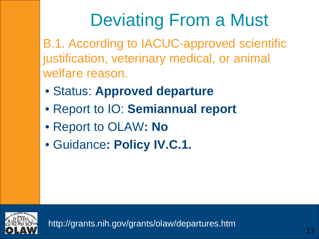# Deviating From a Must

B.1. According to IACUC-approved scientific justification, veterinary medical, or animal welfare reason.

- Status: **Approved departure**
- Report to IO: **Semiannual report**
- Report to OLAW**: No**
- Guidance**: Policy IV.C.1.**

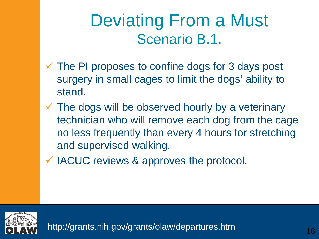#### Deviating From a Must Scenario B.1.

- $\checkmark$  The PI proposes to confine dogs for 3 days post surgery in small cages to limit the dogs' ability to stand.
- $\checkmark$  The dogs will be observed hourly by a veterinary technician who will remove each dog from the cage no less frequently than every 4 hours for stretching and supervised walking.
- $\checkmark$  IACUC reviews & approves the protocol.

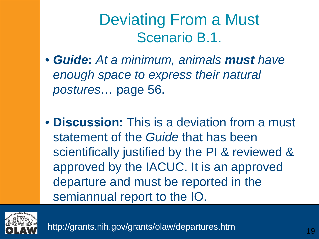#### Deviating From a Must Scenario B.1.

- *Guide***:** *At a minimum, animals must have enough space to express their natural postures…* page 56.
- **Discussion:** This is a deviation from a must statement of the *Guide* that has been scientifically justified by the PI & reviewed & approved by the IACUC. It is an approved departure and must be reported in the semiannual report to the IO.

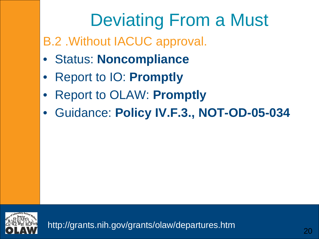# Deviating From a Must

#### B.2 .Without IACUC approval.

- Status: **Noncompliance**
- Report to IO: **Promptly**
- Report to OLAW: **Promptly**
- Guidance: **Policy IV.F.3., NOT-OD-05-034**

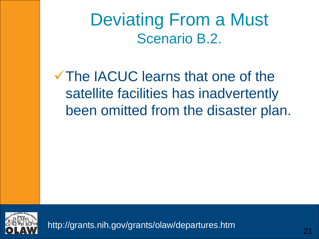Deviating From a Must Scenario B.2.

The IACUC learns that one of the satellite facilities has inadvertently been omitted from the disaster plan.

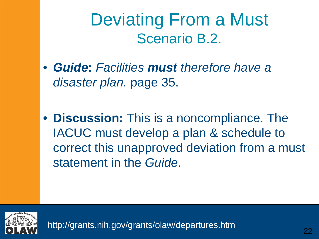Deviating From a Must Scenario B.2.

- *Guide***:** *Facilities must therefore have a disaster plan.* page 35.
- **Discussion:** This is a noncompliance. The IACUC must develop a plan & schedule to correct this unapproved deviation from a must statement in the *Guide*.

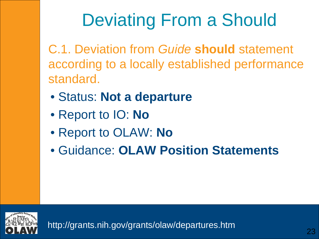# Deviating From a Should

C.1. Deviation from *Guide* **should** statement according to a locally established performance standard.

- Status: **Not a departure**
- Report to IO: **No**
- Report to OLAW: **No**
- Guidance: **OLAW Position Statements**

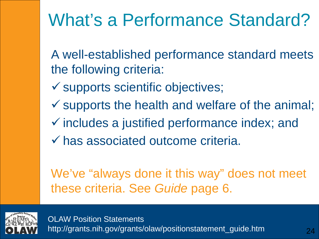# What's a Performance Standard?

A well-established performance standard meets the following criteria:

- $\checkmark$  supports scientific objectives;
- $\checkmark$  supports the health and welfare of the animal;
- $\checkmark$  includes a justified performance index; and
- has associated outcome criteria.

We've "always done it this way" does not meet these criteria. See *Guide* page 6.



OLAW Position Statements http://grants.nih.gov/grants/olaw/positionstatement\_guide.htm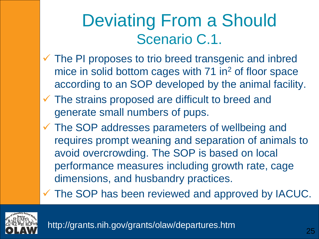#### Deviating From a Should Scenario C.1.

- $\checkmark$  The PI proposes to trio breed transgenic and inbred mice in solid bottom cages with 71 in<sup>2</sup> of floor space according to an SOP developed by the animal facility.
- $\checkmark$  The strains proposed are difficult to breed and generate small numbers of pups.
- The SOP addresses parameters of wellbeing and requires prompt weaning and separation of animals to avoid overcrowding. The SOP is based on local performance measures including growth rate, cage dimensions, and husbandry practices.

The SOP has been reviewed and approved by IACUC.

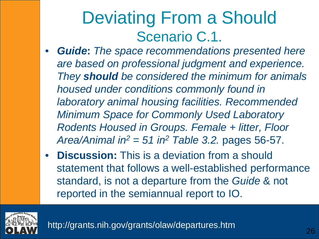#### Deviating From a Should Scenario C.1.

- *Guide***:** *The space recommendations presented here are based on professional judgment and experience. They should be considered the minimum for animals housed under conditions commonly found in laboratory animal housing facilities. Recommended Minimum Space for Commonly Used Laboratory Rodents Housed in Groups. Female + litter, Floor*  Area/Animal in<sup>2</sup> = 51 in<sup>2</sup> Table 3.2. pages 56-57.
- **Discussion:** This is a deviation from a should statement that follows a well-established performance standard, is not a departure from the *Guide* & not reported in the semiannual report to IO.

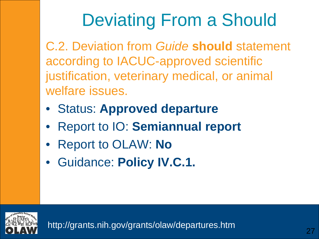# Deviating From a Should

C.2. Deviation from *Guide* **should** statement according to IACUC-approved scientific justification, veterinary medical, or animal welfare issues.

- Status: **Approved departure**
- Report to IO: **Semiannual report**
- Report to OLAW: **No**
- Guidance: **Policy IV.C.1.**

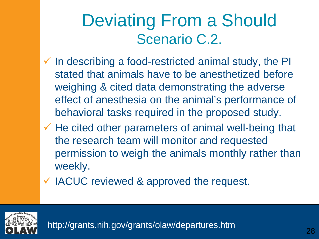#### Deviating From a Should Scenario C.2.

- $\checkmark$  In describing a food-restricted animal study, the PI stated that animals have to be anesthetized before weighing & cited data demonstrating the adverse effect of anesthesia on the animal's performance of behavioral tasks required in the proposed study.
- $\checkmark$  He cited other parameters of animal well-being that the research team will monitor and requested permission to weigh the animals monthly rather than weekly.
- IACUC reviewed & approved the request.

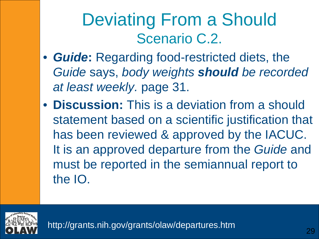#### Deviating From a Should Scenario C.2.

- *Guide***:** Regarding food-restricted diets, the *Guide* says, *body weights should be recorded at least weekly.* page 31.
- **Discussion:** This is a deviation from a should statement based on a scientific justification that has been reviewed & approved by the IACUC. It is an approved departure from the *Guide* and must be reported in the semiannual report to the IO.

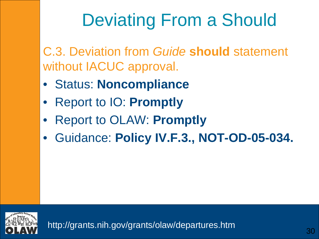# Deviating From a Should

C.3. Deviation from *Guide* **should** statement without IACUC approval.

- Status: **Noncompliance**
- Report to IO: **Promptly**
- Report to OLAW: **Promptly**
- Guidance: **Policy IV.F.3., NOT-OD-05-034.**

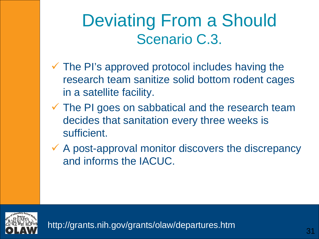#### Deviating From a Should Scenario C.3.

- $\checkmark$  The PI's approved protocol includes having the research team sanitize solid bottom rodent cages in a satellite facility.
- $\checkmark$  The PI goes on sabbatical and the research team decides that sanitation every three weeks is sufficient.
- $\checkmark$  A post-approval monitor discovers the discrepancy and informs the IACUC.

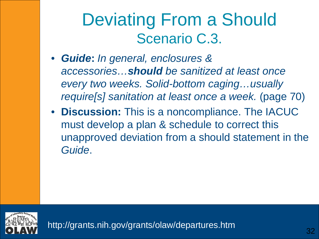#### Deviating From a Should Scenario C.3.

- *Guide***:** *In general, enclosures & accessories…should be sanitized at least once every two weeks. Solid-bottom caging…usually require[s] sanitation at least once a week.* (page 70)
- **Discussion:** This is a noncompliance. The IACUC must develop a plan & schedule to correct this unapproved deviation from a should statement in the *Guide*.

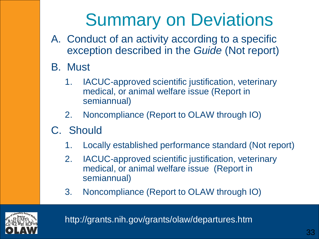# Summary on Deviations

- A. Conduct of an activity according to a specific exception described in the *Guide* (Not report)
- B. Must
	- 1. IACUC-approved scientific justification, veterinary medical, or animal welfare issue (Report in semiannual)
	- 2. Noncompliance (Report to OLAW through IO)
- C. Should
	- 1. Locally established performance standard (Not report)
	- 2. IACUC-approved scientific justification, veterinary medical, or animal welfare issue (Report in semiannual)
	- 3. Noncompliance (Report to OLAW through IO)

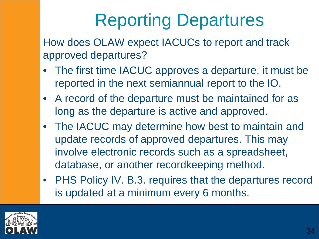# Reporting Departures

How does OLAW expect IACUCs to report and track approved departures?

- The first time IACUC approves a departure, it must be reported in the next semiannual report to the IO.
- A record of the departure must be maintained for as long as the departure is active and approved.
- The IACUC may determine how best to maintain and update records of approved departures. This may involve electronic records such as a spreadsheet, database, or another recordkeeping method.
- PHS Policy IV. B.3. requires that the departures record is updated at a minimum every 6 months.

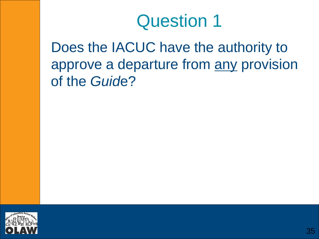Does the IACUC have the authority to approve a departure from any provision of the *Guid*e?

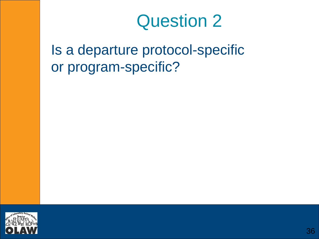Is a departure protocol-specific or program-specific?

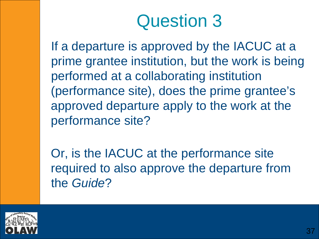If a departure is approved by the IACUC at a prime grantee institution, but the work is being performed at a collaborating institution (performance site), does the prime grantee's approved departure apply to the work at the performance site?

Or, is the IACUC at the performance site required to also approve the departure from the *Guide*?

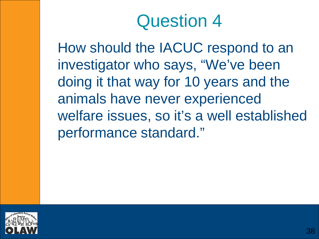How should the IACUC respond to an investigator who says, "We've been doing it that way for 10 years and the animals have never experienced welfare issues, so it's a well established performance standard."

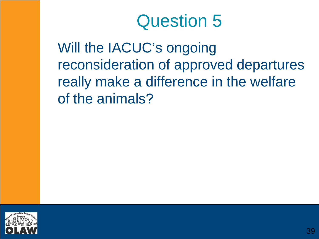Will the IACUC's ongoing reconsideration of approved departures really make a difference in the welfare of the animals?

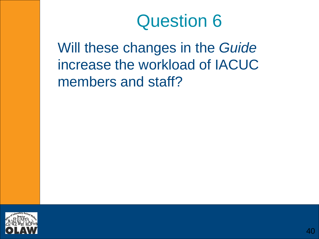Will these changes in the *Guide*  increase the workload of IACUC members and staff?

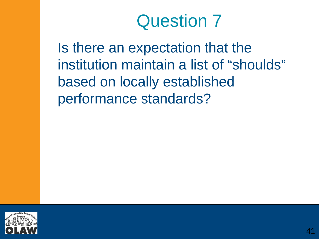Is there an expectation that the institution maintain a list of "shoulds" based on locally established performance standards?

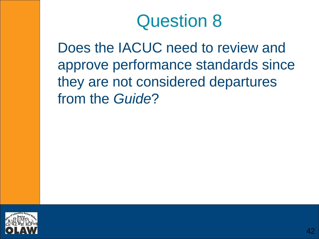Does the IACUC need to review and approve performance standards since they are not considered departures from the *Guide*?

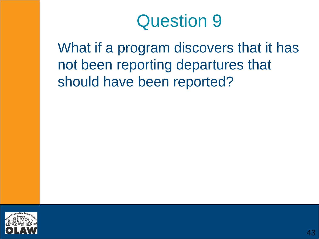What if a program discovers that it has not been reporting departures that should have been reported?

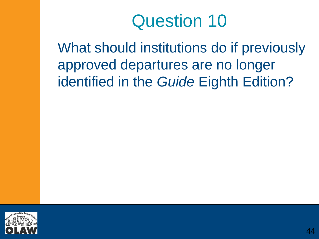What should institutions do if previously approved departures are no longer identified in the *Guide* Eighth Edition?

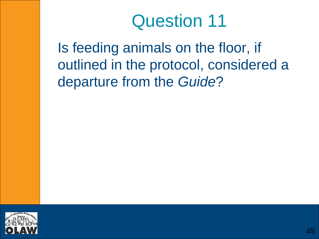Is feeding animals on the floor, if outlined in the protocol, considered a departure from the *Guide*?

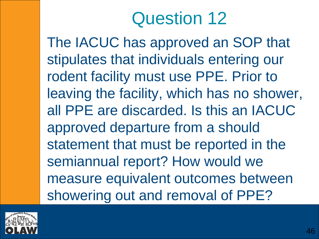The IACUC has approved an SOP that stipulates that individuals entering our rodent facility must use PPE. Prior to leaving the facility, which has no shower, all PPE are discarded. Is this an IACUC approved departure from a should statement that must be reported in the semiannual report? How would we measure equivalent outcomes between showering out and removal of PPE?

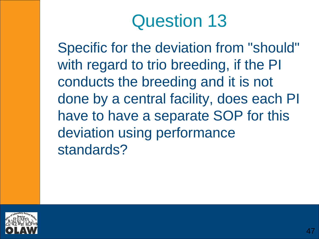Specific for the deviation from "should" with regard to trio breeding, if the PI conducts the breeding and it is not done by a central facility, does each PI have to have a separate SOP for this deviation using performance standards?

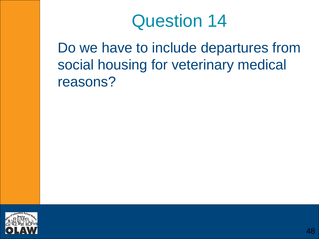Do we have to include departures from social housing for veterinary medical reasons?

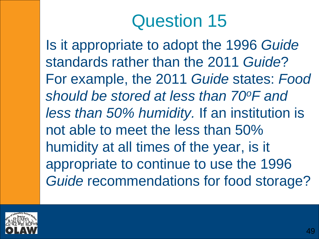Is it appropriate to adopt the 1996 *Guide* standards rather than the 2011 *Guide*? For example, the 2011 *Guide* states: *Food should be stored at less than 70oF and less than 50% humidity.* If an institution is not able to meet the less than 50% humidity at all times of the year, is it appropriate to continue to use the 1996 *Guide* recommendations for food storage?

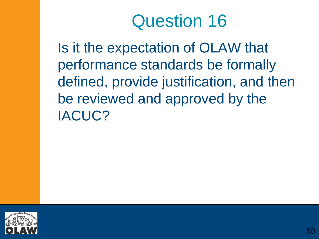Is it the expectation of OLAW that performance standards be formally defined, provide justification, and then be reviewed and approved by the IACUC?

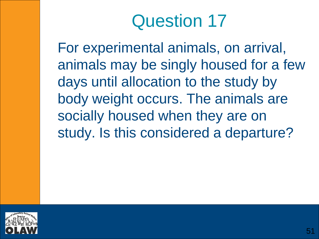For experimental animals, on arrival, animals may be singly housed for a few days until allocation to the study by body weight occurs. The animals are socially housed when they are on study. Is this considered a departure?

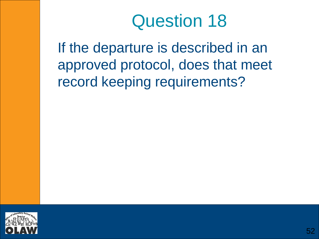If the departure is described in an approved protocol, does that meet record keeping requirements?

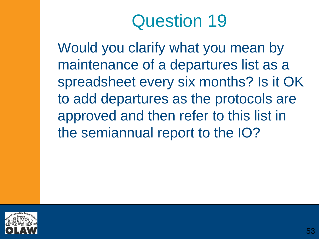Would you clarify what you mean by maintenance of a departures list as a spreadsheet every six months? Is it OK to add departures as the protocols are approved and then refer to this list in the semiannual report to the IO?

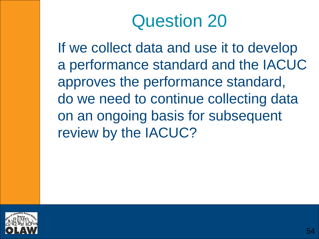If we collect data and use it to develop a performance standard and the IACUC approves the performance standard, do we need to continue collecting data on an ongoing basis for subsequent review by the IACUC?

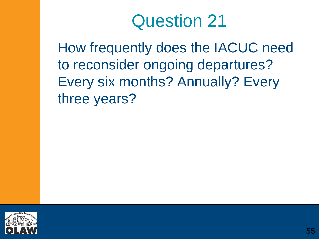How frequently does the IACUC need to reconsider ongoing departures? Every six months? Annually? Every three years?

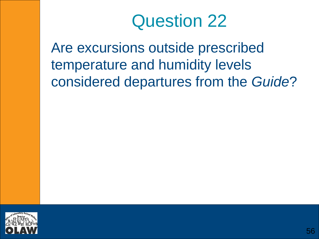Are excursions outside prescribed temperature and humidity levels considered departures from the *Guide*?

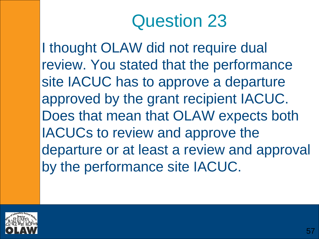I thought OLAW did not require dual review. You stated that the performance site IACUC has to approve a departure approved by the grant recipient IACUC. Does that mean that OLAW expects both IACUCs to review and approve the departure or at least a review and approval by the performance site IACUC.

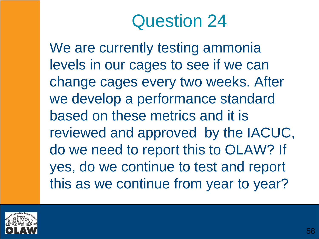We are currently testing ammonia levels in our cages to see if we can change cages every two weeks. After we develop a performance standard based on these metrics and it is reviewed and approved by the IACUC, do we need to report this to OLAW? If yes, do we continue to test and report this as we continue from year to year?

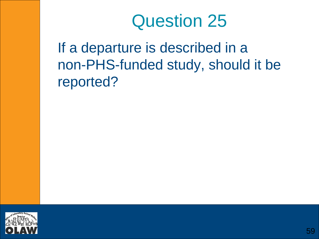If a departure is described in a non-PHS-funded study, should it be reported?

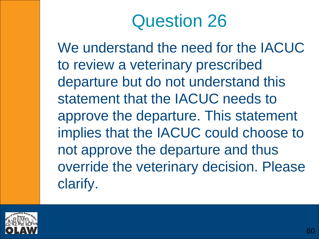We understand the need for the IACUC to review a veterinary prescribed departure but do not understand this statement that the IACUC needs to approve the departure. This statement implies that the IACUC could choose to not approve the departure and thus override the veterinary decision. Please clarify.

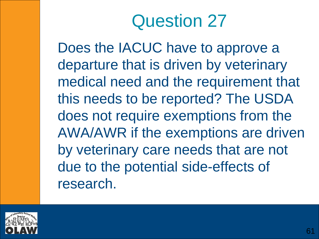Does the IACUC have to approve a departure that is driven by veterinary medical need and the requirement that this needs to be reported? The USDA does not require exemptions from the AWA/AWR if the exemptions are driven by veterinary care needs that are not due to the potential side-effects of research.

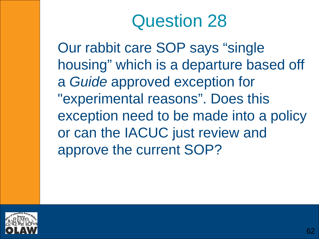Our rabbit care SOP says "single housing" which is a departure based off a *Guide* approved exception for "experimental reasons". Does this exception need to be made into a policy or can the IACUC just review and approve the current SOP?

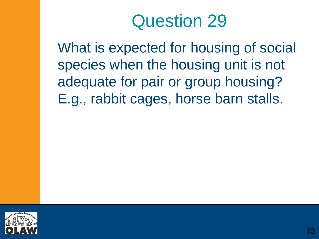What is expected for housing of social species when the housing unit is not adequate for pair or group housing? E.g., rabbit cages, horse barn stalls.

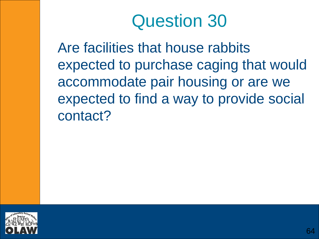Are facilities that house rabbits expected to purchase caging that would accommodate pair housing or are we expected to find a way to provide social contact?

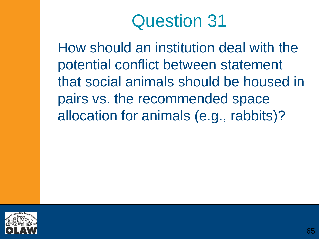How should an institution deal with the potential conflict between statement that social animals should be housed in pairs vs. the recommended space allocation for animals (e.g., rabbits)?

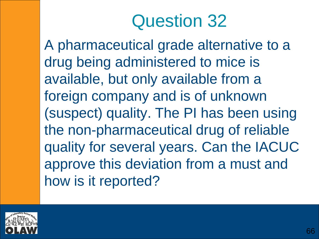A pharmaceutical grade alternative to a drug being administered to mice is available, but only available from a foreign company and is of unknown (suspect) quality. The PI has been using the non-pharmaceutical drug of reliable quality for several years. Can the IACUC approve this deviation from a must and how is it reported?

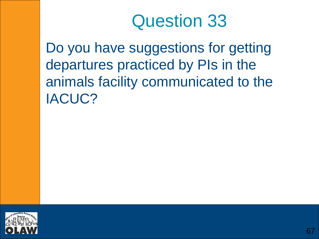Do you have suggestions for getting departures practiced by PIs in the animals facility communicated to the IACUC?

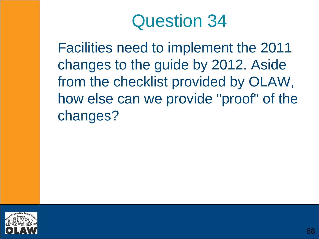Facilities need to implement the 2011 changes to the guide by 2012. Aside from the checklist provided by OLAW, how else can we provide "proof" of the changes?

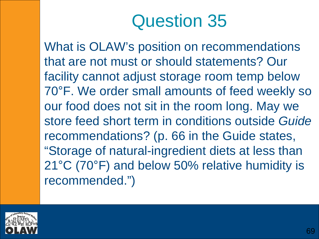What is OLAW's position on recommendations that are not must or should statements? Our facility cannot adjust storage room temp below 70°F. We order small amounts of feed weekly so our food does not sit in the room long. May we store feed short term in conditions outside *Guide* recommendations? (p. 66 in the Guide states, "Storage of natural-ingredient diets at less than 21°C (70°F) and below 50% relative humidity is recommended.")